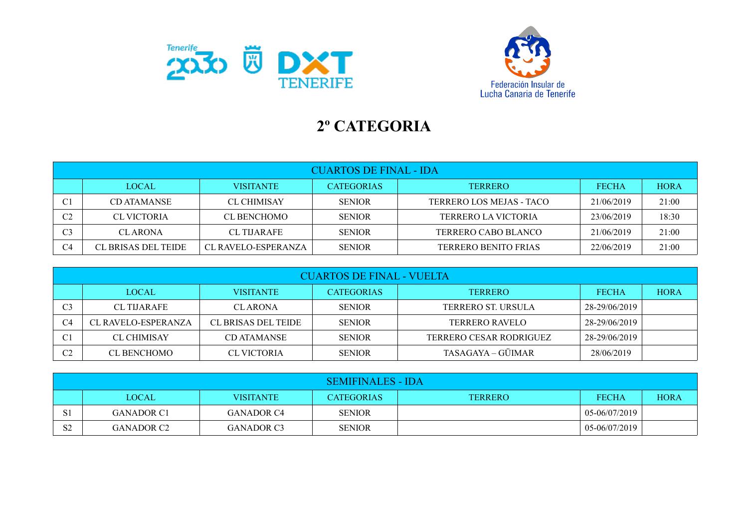



## **2º CATEGORIA**

|                | <b>CUARTOS DE FINAL - IDA</b> |                     |                   |                             |              |             |  |  |
|----------------|-------------------------------|---------------------|-------------------|-----------------------------|--------------|-------------|--|--|
|                | <b>LOCAL</b>                  | <b>VISITANTE</b>    | <b>CATEGORIAS</b> | <b>TERRERO</b>              | <b>FECHA</b> | <b>HORA</b> |  |  |
| C1             | CD ATAMANSE                   | <b>CL CHIMISAY</b>  | <b>SENIOR</b>     | TERRERO LOS MEJAS - TACO    | 21/06/2019   | 21:00       |  |  |
| C <sub>2</sub> | CL VICTORIA                   | <b>CL BENCHOMO</b>  | <b>SENIOR</b>     | <b>TERRERO LA VICTORIA</b>  | 23/06/2019   | 18:30       |  |  |
| C3             | <b>CLARONA</b>                | <b>CL TIJARAFE</b>  | <b>SENIOR</b>     | TERRERO CABO BLANCO         | 21/06/2019   | 21:00       |  |  |
| C4             | CL BRISAS DEL TEIDE           | CL RAVELO-ESPERANZA | <b>SENIOR</b>     | <b>TERRERO BENITO FRIAS</b> | 22/06/2019   | 21:00       |  |  |

| <b>CUARTOS DE FINAL - VUELTA</b> |                            |                            |                   |                         |               |             |  |
|----------------------------------|----------------------------|----------------------------|-------------------|-------------------------|---------------|-------------|--|
|                                  | <b>LOCAL</b>               | <b>VISITANTE</b>           | <b>CATEGORIAS</b> | <b>TERRERO</b>          | <b>FECHA</b>  | <b>HORA</b> |  |
| C3                               | <b>CL TIJARAFE</b>         | <b>CLARONA</b>             | <b>SENIOR</b>     | TERRERO ST. URSULA      | 28-29/06/2019 |             |  |
| C4                               | <b>CL RAVELO-ESPERANZA</b> | <b>CL BRISAS DEL TEIDE</b> | <b>SENIOR</b>     | <b>TERRERO RAVELO</b>   | 28-29/06/2019 |             |  |
| C1                               | <b>CL CHIMISAY</b>         | CD ATAMANSE                | <b>SENIOR</b>     | TERRERO CESAR RODRIGUEZ | 28-29/06/2019 |             |  |
| C <sub>2</sub>                   | <b>CL BENCHOMO</b>         | CL VICTORIA                | <b>SENIOR</b>     | TASAGAYA – GÜIMAR       | 28/06/2019    |             |  |

|                | <b>SEMIFINALES - IDA</b> |                  |               |                |               |             |  |  |
|----------------|--------------------------|------------------|---------------|----------------|---------------|-------------|--|--|
|                | LOCAL                    | <b>VISITANTE</b> | CATEGORIAS    | <b>TERRERO</b> | <b>FECHA</b>  | <b>HORA</b> |  |  |
| S <sub>1</sub> | <b>GANADOR C1</b>        | GANADOR C4       | <b>SENIOR</b> |                | 05-06/07/2019 |             |  |  |
| S <sub>2</sub> | <b>GANADOR C2</b>        | GANADOR C3       | <b>SENIOR</b> |                | 05-06/07/2019 |             |  |  |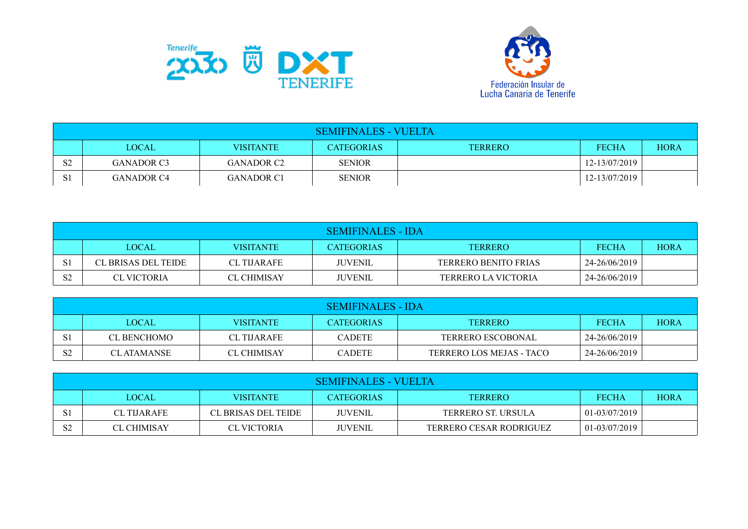



| <b>SEMIFINALES - VUELTA</b> |                   |                   |                   |                |               |             |  |
|-----------------------------|-------------------|-------------------|-------------------|----------------|---------------|-------------|--|
|                             | <b>LOCAL</b>      | <b>VISITANTE</b>  | <b>CATEGORIAS</b> | <b>TERRERO</b> | <b>FECHA</b>  | <b>HORA</b> |  |
| S <sub>2</sub>              | <b>GANADOR C3</b> | GANADOR C2        | <b>SENIOR</b>     |                | 12-13/07/2019 |             |  |
| S1                          | GANADOR C4        | <b>GANADOR C1</b> | <b>SENIOR</b>     |                | 12-13/07/2019 |             |  |

| SEMIFINALES - IDA |                     |                    |                   |                      |               |             |  |
|-------------------|---------------------|--------------------|-------------------|----------------------|---------------|-------------|--|
|                   | <b>LOCAL</b>        | <b>VISITANTE</b>   | <b>CATEGORIAS</b> | TERRERO              | <b>FECHA</b>  | <b>HORA</b> |  |
|                   | CL BRISAS DEL TEIDE | <b>CL TIJARAFE</b> | <b>JUVENIL</b>    | TERRERO BENITO FRIAS | 24-26/06/2019 |             |  |
| S <sub>2</sub>    | CL VICTORIA         | <b>CL CHIMISAY</b> | <b>JUVENIL</b>    | TERRERO LA VICTORIA  | 24-26/06/2019 |             |  |

| SEMIFINALES - IDA |                   |                    |                   |                          |               |             |  |
|-------------------|-------------------|--------------------|-------------------|--------------------------|---------------|-------------|--|
|                   | <b>LOCAL</b>      | <b>VISITANTE</b>   | <b>CATEGORIAS</b> | <b>TERRERO</b>           | <b>FECHA</b>  | <b>HORA</b> |  |
| S1                | CL BENCHOMO       | <b>CL TIJARAFE</b> | <b>CADETE</b>     | <b>TERRERO ESCOBONAL</b> | 24-26/06/2019 |             |  |
| S <sub>2</sub>    | <b>CLATAMANSE</b> | <b>CL CHIMISAY</b> | <b>CADETE</b>     | TERRERO LOS MEJAS - TACO | 24-26/06/2019 |             |  |

| SEMIFINALES - VUELTA |                    |                     |                   |                                |               |             |  |
|----------------------|--------------------|---------------------|-------------------|--------------------------------|---------------|-------------|--|
|                      | LOCAL              | <b>VISITANTE</b>    | <b>CATEGORIAS</b> | <b>TERRERO</b>                 | <b>FECHA</b>  | <b>HORA</b> |  |
| S1                   | <b>CL TIJARAFE</b> | CL BRISAS DEL TEIDE | <b>JUVENIL</b>    | TERRERO ST. URSULA             | 01-03/07/2019 |             |  |
| S <sub>2</sub>       | <b>CL CHIMISAY</b> | <b>CL VICTORIA</b>  | <b>JUVENIL</b>    | <b>TERRERO CESAR RODRIGUEZ</b> | 01-03/07/2019 |             |  |